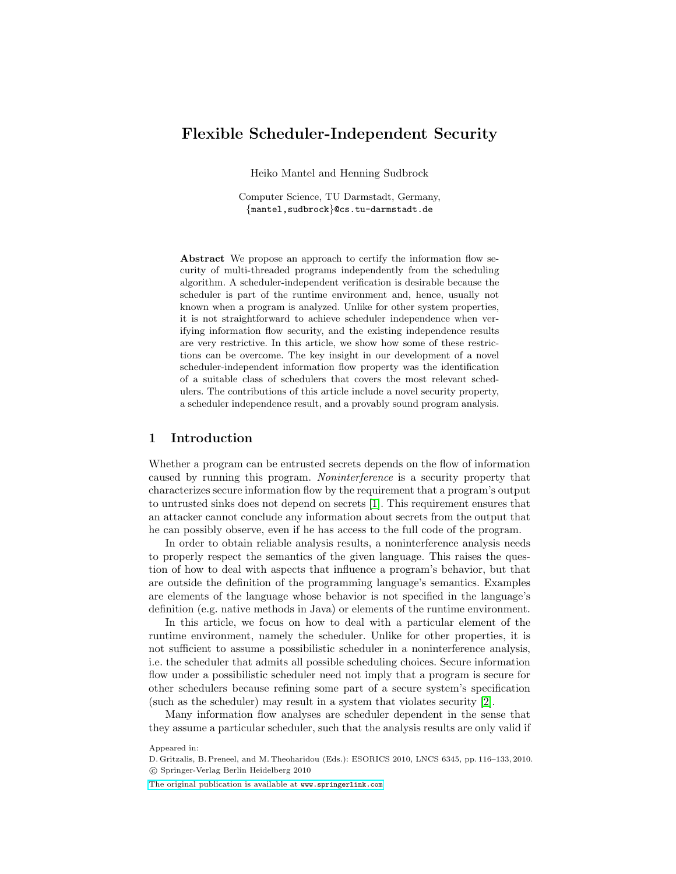# Flexible Scheduler-Independent Security

Heiko Mantel and Henning Sudbrock

Computer Science, TU Darmstadt, Germany, {mantel,sudbrock}@cs.tu-darmstadt.de

Abstract We propose an approach to certify the information flow security of multi-threaded programs independently from the scheduling algorithm. A scheduler-independent verification is desirable because the scheduler is part of the runtime environment and, hence, usually not known when a program is analyzed. Unlike for other system properties, it is not straightforward to achieve scheduler independence when verifying information flow security, and the existing independence results are very restrictive. In this article, we show how some of these restrictions can be overcome. The key insight in our development of a novel scheduler-independent information flow property was the identification of a suitable class of schedulers that covers the most relevant schedulers. The contributions of this article include a novel security property, a scheduler independence result, and a provably sound program analysis.

## <span id="page-0-0"></span>1 Introduction

Whether a program can be entrusted secrets depends on the flow of information caused by running this program. Noninterference is a security property that characterizes secure information flow by the requirement that a program's output to untrusted sinks does not depend on secrets [\[1\]](#page-16-0). This requirement ensures that an attacker cannot conclude any information about secrets from the output that he can possibly observe, even if he has access to the full code of the program.

In order to obtain reliable analysis results, a noninterference analysis needs to properly respect the semantics of the given language. This raises the question of how to deal with aspects that influence a program's behavior, but that are outside the definition of the programming language's semantics. Examples are elements of the language whose behavior is not specified in the language's definition (e.g. native methods in Java) or elements of the runtime environment.

In this article, we focus on how to deal with a particular element of the runtime environment, namely the scheduler. Unlike for other properties, it is not sufficient to assume a possibilistic scheduler in a noninterference analysis, i.e. the scheduler that admits all possible scheduling choices. Secure information flow under a possibilistic scheduler need not imply that a program is secure for other schedulers because refining some part of a secure system's specification (such as the scheduler) may result in a system that violates security [\[2\]](#page-16-1).

Many information flow analyses are scheduler dependent in the sense that they assume a particular scheduler, such that the analysis results are only valid if

Appeared in:

D. Gritzalis, B. Preneel, and M. Theoharidou (Eds.): ESORICS 2010, LNCS 6345, pp. 116–133, 2010. c Springer-Verlag Berlin Heidelberg 2010

[The original publication is available at](http://www.springerlink.com/content/978-3-642-15496-6) www.springerlink.com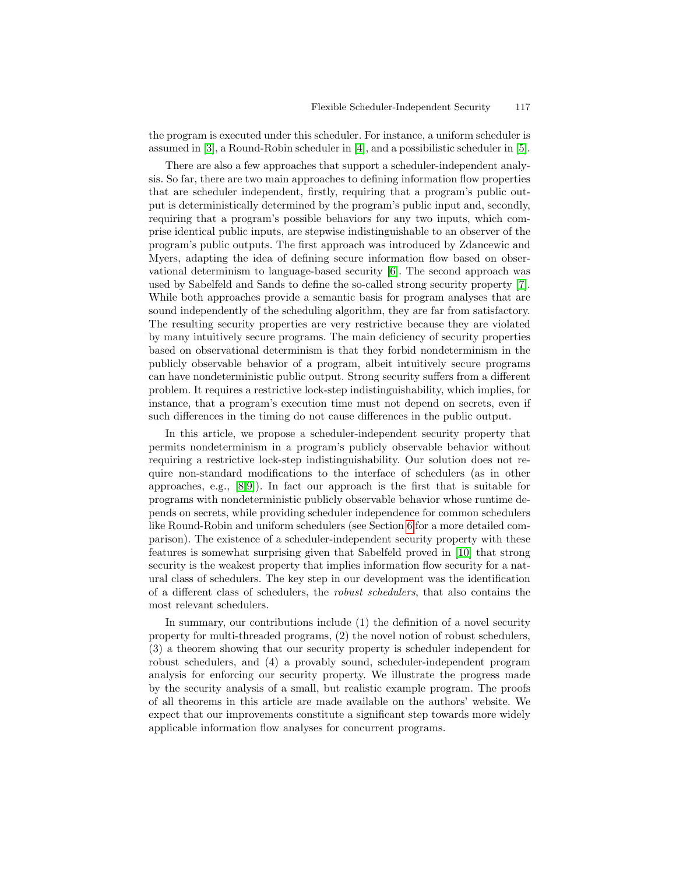the program is executed under this scheduler. For instance, a uniform scheduler is assumed in [\[3\]](#page-16-2), a Round-Robin scheduler in [\[4\]](#page-16-3), and a possibilistic scheduler in [\[5\]](#page-16-4).

There are also a few approaches that support a scheduler-independent analysis. So far, there are two main approaches to defining information flow properties that are scheduler independent, firstly, requiring that a program's public output is deterministically determined by the program's public input and, secondly, requiring that a program's possible behaviors for any two inputs, which comprise identical public inputs, are stepwise indistinguishable to an observer of the program's public outputs. The first approach was introduced by Zdancewic and Myers, adapting the idea of defining secure information flow based on observational determinism to language-based security [\[6\]](#page-16-5). The second approach was used by Sabelfeld and Sands to define the so-called strong security property [\[7\]](#page-16-6). While both approaches provide a semantic basis for program analyses that are sound independently of the scheduling algorithm, they are far from satisfactory. The resulting security properties are very restrictive because they are violated by many intuitively secure programs. The main deficiency of security properties based on observational determinism is that they forbid nondeterminism in the publicly observable behavior of a program, albeit intuitively secure programs can have nondeterministic public output. Strong security suffers from a different problem. It requires a restrictive lock-step indistinguishability, which implies, for instance, that a program's execution time must not depend on secrets, even if such differences in the timing do not cause differences in the public output.

In this article, we propose a scheduler-independent security property that permits nondeterminism in a program's publicly observable behavior without requiring a restrictive lock-step indistinguishability. Our solution does not require non-standard modifications to the interface of schedulers (as in other approaches, e.g., [\[8,](#page-16-7)[9\]](#page-16-8)). In fact our approach is the first that is suitable for programs with nondeterministic publicly observable behavior whose runtime depends on secrets, while providing scheduler independence for common schedulers like Round-Robin and uniform schedulers (see Section [6](#page-13-0) for a more detailed comparison). The existence of a scheduler-independent security property with these features is somewhat surprising given that Sabelfeld proved in [\[10\]](#page-16-9) that strong security is the weakest property that implies information flow security for a natural class of schedulers. The key step in our development was the identification of a different class of schedulers, the robust schedulers, that also contains the most relevant schedulers.

In summary, our contributions include (1) the definition of a novel security property for multi-threaded programs, (2) the novel notion of robust schedulers, (3) a theorem showing that our security property is scheduler independent for robust schedulers, and (4) a provably sound, scheduler-independent program analysis for enforcing our security property. We illustrate the progress made by the security analysis of a small, but realistic example program. The proofs of all theorems in this article are made available on the authors' website. We expect that our improvements constitute a significant step towards more widely applicable information flow analyses for concurrent programs.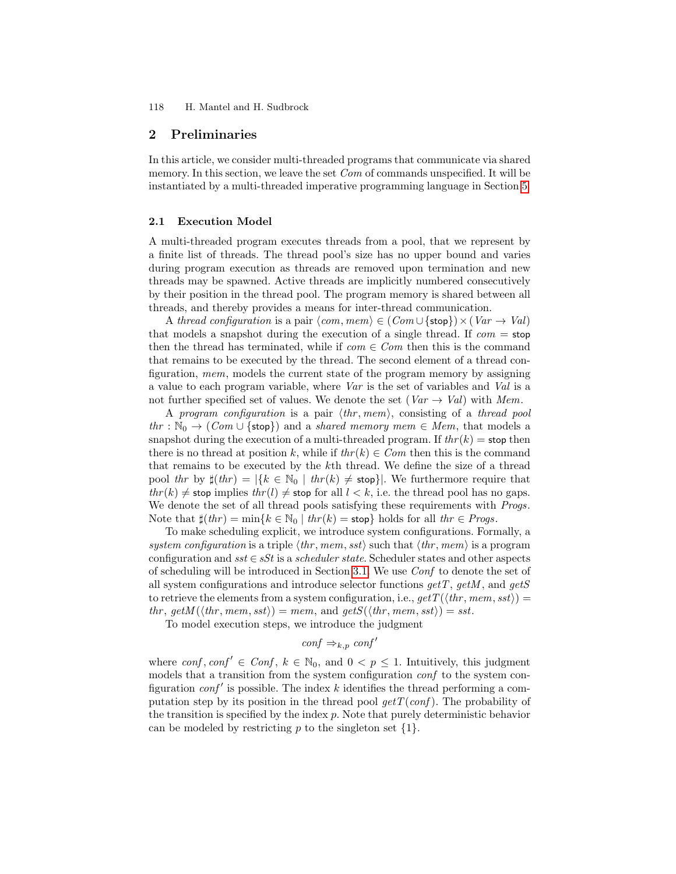## 2 Preliminaries

In this article, we consider multi-threaded programs that communicate via shared memory. In this section, we leave the set *Com* of commands unspecified. It will be instantiated by a multi-threaded imperative programming language in Section [5.](#page-10-0)

### <span id="page-2-0"></span>2.1 Execution Model

A multi-threaded program executes threads from a pool, that we represent by a finite list of threads. The thread pool's size has no upper bound and varies during program execution as threads are removed upon termination and new threads may be spawned. Active threads are implicitly numbered consecutively by their position in the thread pool. The program memory is shared between all threads, and thereby provides a means for inter-thread communication.

A thread configuration is a pair  $\langle com, mem \rangle \in (Com \cup {\{\text{stop}\}}) \times (Var \to Val)$ that models a snapshot during the execution of a single thread. If  $com = stop$ then the thread has terminated, while if  $com \in Com$  then this is the command that remains to be executed by the thread. The second element of a thread configuration, mem, models the current state of the program memory by assigning a value to each program variable, where Var is the set of variables and Val is a not further specified set of values. We denote the set ( $Var \rightarrow Val$ ) with Mem.

A program configuration is a pair  $\langle thr, mem \rangle$ , consisting of a thread pool  $thr : \mathbb{N}_0 \to (Com \cup \{\text{stop}\})$  and a shared memory mem  $\in Mem$ , that models a snapshot during the execution of a multi-threaded program. If  $thr(k) =$  stop then there is no thread at position k, while if  $thr(k) \in Com$  then this is the command that remains to be executed by the kth thread. We define the size of a thread pool thr by  $\sharp(thr) = |\{k \in \mathbb{N}_0 \mid thr(k) \neq \mathsf{stop}\}|$ . We furthermore require that  $thr(k) \neq$  stop implies  $thr(l) \neq$  stop for all  $l < k$ , i.e. the thread pool has no gaps. We denote the set of all thread pools satisfying these requirements with *Progs*. Note that  $\sharp(thr) = \min\{k \in \mathbb{N}_0 \mid thr(k) = \mathsf{stop}\}\)$  holds for all  $thr \in Progs$ .

To make scheduling explicit, we introduce system configurations. Formally, a system configuration is a triple  $\langle thr, mem, sst \rangle$  such that  $\langle thr, mem \rangle$  is a program configuration and  $sst \in sSt$  is a *scheduler state*. Scheduler states and other aspects of scheduling will be introduced in Section [3.1.](#page-4-0) We use Conf to denote the set of all system configurations and introduce selector functions  $getT$ ,  $getM$ , and  $getS$ to retrieve the elements from a system configuration, i.e.,  $getT(\langle thr, mem, sst \rangle) =$ thr, getM( $\langle thr, mem, sst \rangle$ ) = mem, and getS( $\langle thr, mem, sst \rangle$ ) = sst.

To model execution steps, we introduce the judgment

$$
conf \Rightarrow_{k,p} conf'
$$

where conf, conf'  $\in$  Conf,  $k \in \mathbb{N}_0$ , and  $0 < p \leq 1$ . Intuitively, this judgment models that a transition from the system configuration *conf* to the system configuration  $\text{conf}'$  is possible. The index k identifies the thread performing a computation step by its position in the thread pool  $getT(conf)$ . The probability of the transition is specified by the index  $p$ . Note that purely deterministic behavior can be modeled by restricting  $p$  to the singleton set  $\{1\}$ .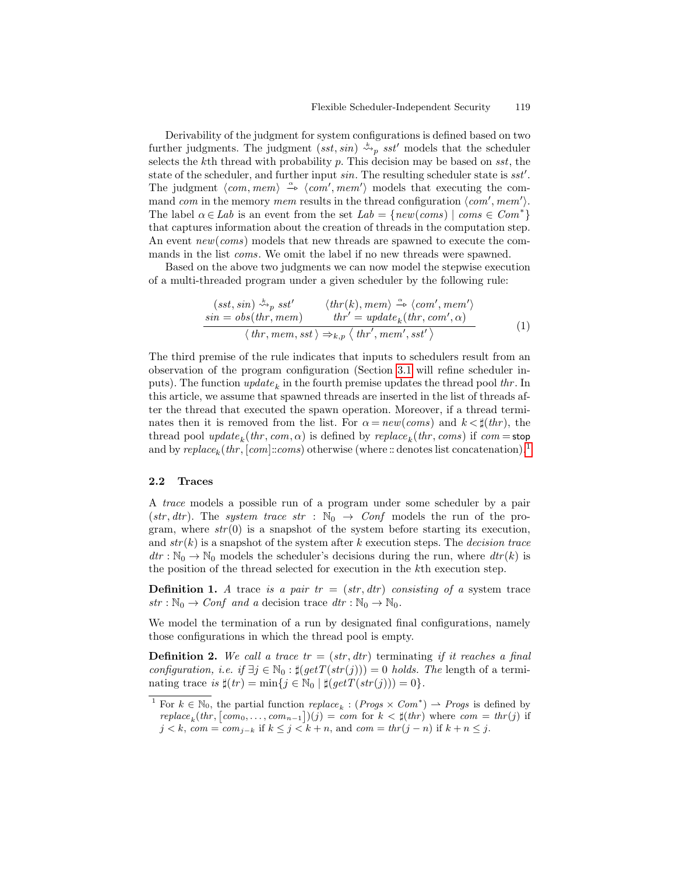Derivability of the judgment for system configurations is defined based on two further judgments. The judgment  $(sst, sin) \stackrel{k}{\leadsto} p sst'$  models that the scheduler selects the kth thread with probability  $p$ . This decision may be based on sst, the state of the scheduler, and further input  $sin$ . The resulting scheduler state is  $sst'$ . The judgment  $\langle com, mem \rangle \stackrel{\sim}{\rightarrow} \langle com', mem' \rangle$  models that executing the com-<br>mend com in the moment more results in the thread configuration  $\langle com' , mem' \rangle$ mand com in the memory mem results in the thread configuration  $\langle com', mem' \rangle$ . The label  $\alpha \in Lab$  is an event from the set  $Lab = \{new(cons) \mid cons \in Com^*\}$ that captures information about the creation of threads in the computation step. An event  $new(coms)$  models that new threads are spawned to execute the commands in the list coms. We omit the label if no new threads were spawned.

Based on the above two judgments we can now model the stepwise execution of a multi-threaded program under a given scheduler by the following rule:

$$
\frac{(sst, sin) \stackrel{k}{\sim} p \, sst'}{sin = obs(thr, mem) } \quad \frac{\langle thr(k), mem \rangle \stackrel{\sim}{\rightarrow} \langle com', mem' \rangle}{\langle thr, mem, sst \rangle \Rightarrow_{k,p} \langle thr', mem', sst' \rangle} \tag{1}
$$

The third premise of the rule indicates that inputs to schedulers result from an observation of the program configuration (Section [3.1](#page-4-0) will refine scheduler inputs). The function  $update_k$  in the fourth premise updates the thread pool  $thr$ . In this article, we assume that spawned threads are inserted in the list of threads after the thread that executed the spawn operation. Moreover, if a thread terminates then it is removed from the list. For  $\alpha = new(cons)$  and  $k < \sharp (thr)$ , the thread pool  $update_k(thr, com, \alpha)$  is defined by  $replace_k(thr, coms)$  if  $com = stop$ and by  $replace_k(thr, [com]:cons)$  otherwise (where :: denotes list concatenation).<sup>[1](#page-3-0)</sup>

#### 2.2 Traces

A trace models a possible run of a program under some scheduler by a pair (str, dtr). The system trace str :  $\mathbb{N}_0 \rightarrow$  Conf models the run of the program, where  $str(0)$  is a snapshot of the system before starting its execution, and  $str(k)$  is a snapshot of the system after k execution steps. The *decision trace*  $dt_r : \mathbb{N}_0 \to \mathbb{N}_0$  models the scheduler's decisions during the run, where  $dt_r(k)$  is the position of the thread selected for execution in the kth execution step.

**Definition 1.** A trace is a pair  $tr = (str, dtr)$  consisting of a system trace  $str : \mathbb{N}_0 \to Conf$  and a decision trace  $dtr : \mathbb{N}_0 \to \mathbb{N}_0$ .

We model the termination of a run by designated final configurations, namely those configurations in which the thread pool is empty.

**Definition 2.** We call a trace  $tr = (str, dtr)$  terminating if it reaches a final configuration, i.e. if  $\exists j \in \mathbb{N}_0 : \sharp (getT(str(j))) = 0$  holds. The length of a terminating trace is  $\sharp (tr) = \min\{j \in \mathbb{N}_0 \mid \sharp (getT(str(j))) = 0\}.$ 

<span id="page-3-0"></span><sup>&</sup>lt;sup>1</sup> For  $k \in \mathbb{N}_0$ , the partial function  $replace_k : (Progs \times Com^*) \rightarrow Progs$  is defined by  $replace_k(thr, [com_0, \ldots, com_{n-1}](j) = com for k < \sharp(thr)$  where  $com = thr(j)$  if  $j < k$ , com = com<sub>j-k</sub> if  $k \leq j < k + n$ , and com = thr  $(j - n)$  if  $k + n \leq j$ .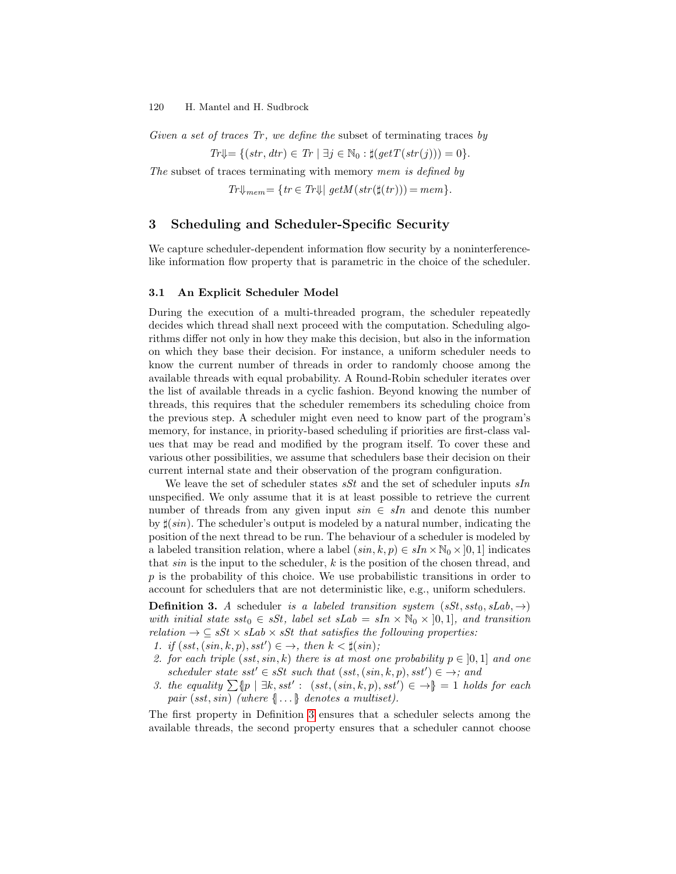Given a set of traces  $Tr$ , we define the subset of terminating traces by

 $Tr \Downarrow = \{(str, dtr) \in Tr \mid \exists j \in \mathbb{N}_0 : \sharp (getT(str(j))) = 0 \}.$ 

The subset of traces terminating with memory mem is defined by

 $Tr\mathbb{I}_{mem} = \{tr \in Tr\mathbb{I} \mid getM(str(\sharp(tr))) = mem\}.$ 

## 3 Scheduling and Scheduler-Specific Security

We capture scheduler-dependent information flow security by a noninterferencelike information flow property that is parametric in the choice of the scheduler.

#### <span id="page-4-0"></span>3.1 An Explicit Scheduler Model

During the execution of a multi-threaded program, the scheduler repeatedly decides which thread shall next proceed with the computation. Scheduling algorithms differ not only in how they make this decision, but also in the information on which they base their decision. For instance, a uniform scheduler needs to know the current number of threads in order to randomly choose among the available threads with equal probability. A Round-Robin scheduler iterates over the list of available threads in a cyclic fashion. Beyond knowing the number of threads, this requires that the scheduler remembers its scheduling choice from the previous step. A scheduler might even need to know part of the program's memory, for instance, in priority-based scheduling if priorities are first-class values that may be read and modified by the program itself. To cover these and various other possibilities, we assume that schedulers base their decision on their current internal state and their observation of the program configuration.

We leave the set of scheduler states  $sSt$  and the set of scheduler inputs  $sIn$ unspecified. We only assume that it is at least possible to retrieve the current number of threads from any given input  $sin \in sh$  and denote this number by  $\sharp (sin)$ . The scheduler's output is modeled by a natural number, indicating the position of the next thread to be run. The behaviour of a scheduler is modeled by a labeled transition relation, where a label  $(sin, k, p) \in sin \times \mathbb{N}_0 \times [0, 1]$  indicates that  $sin$  is the input to the scheduler,  $k$  is the position of the chosen thread, and  $p$  is the probability of this choice. We use probabilistic transitions in order to account for schedulers that are not deterministic like, e.g., uniform schedulers.

**Definition 3.** A scheduler is a labeled transition system  $(sSt, sst_0, sLab, \rightarrow)$ with initial state sst<sub>0</sub>  $\in$  sSt, label set sLab = sIn  $\times$  N<sub>0</sub>  $\times$  |0, 1|, and transition relation  $\rightarrow \subseteq sSt \times sLab \times sSt$  that satisfies the following properties:

- 1. if  $(sst, (sin, k, p), sst') \in \rightarrow$ , then  $k < \sharp (sin)$ ;
- 2. for each triple (sst, sin, k) there is at most one probability  $p \in [0,1]$  and one scheduler state sst'  $\in sSt$  such that  $(sst, (sin, k, p), sst') \in \rightarrow;$  and
- <span id="page-4-1"></span>3. the equality  $\sum_{i} \{p \mid \exists k, sst': (sst, (sin, k, p), sst') \in \rightarrow \} = 1$  holds for each pair (sst, sin) (where  $\{\ldots\}$  denotes a multiset).

The first property in Definition [3](#page-4-1) ensures that a scheduler selects among the available threads, the second property ensures that a scheduler cannot choose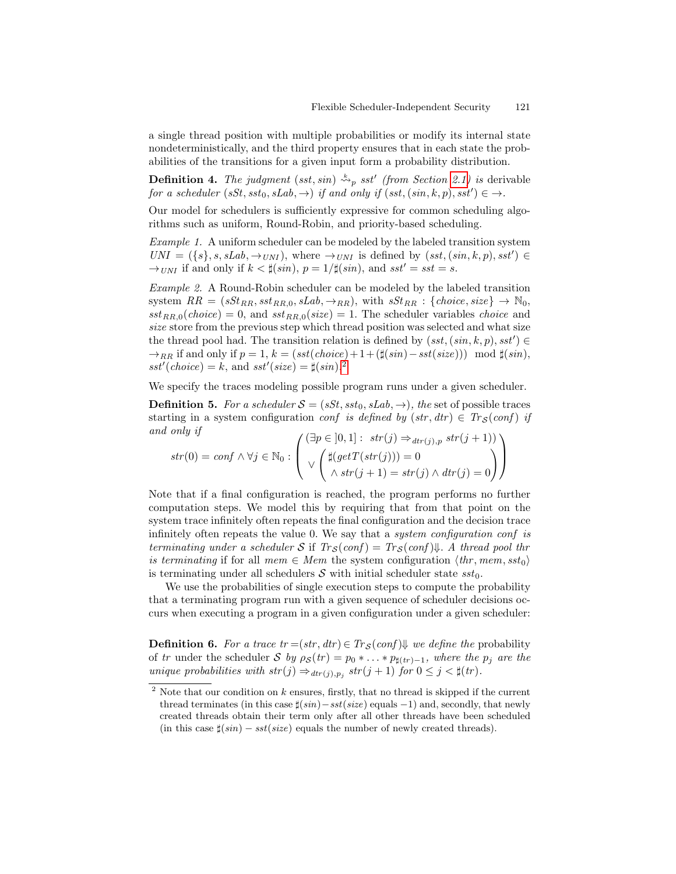a single thread position with multiple probabilities or modify its internal state nondeterministically, and the third property ensures that in each state the probabilities of the transitions for a given input form a probability distribution.

**Definition 4.** The judgment (sst, sin)  $\stackrel{k}{\leadsto}$  sst<sup>'</sup> (from Section [2.1\)](#page-2-0) is derivable for a scheduler  $(sSt, sst_0, sLab, \rightarrow)$  if and only if  $(sst, (sin, k, p), sst') \in \rightarrow$ .

<span id="page-5-1"></span>Our model for schedulers is sufficiently expressive for common scheduling algorithms such as uniform, Round-Robin, and priority-based scheduling.

Example 1. A uniform scheduler can be modeled by the labeled transition system  $UNI = (\{s\}, s, sLab, \rightarrow_{UNI})$ , where  $\rightarrow_{UNI}$  is defined by  $(sst, (sin, k, p), sst') \in$  $\rightarrow$ <sub>*UNI*</sub> if and only if  $k < \sharp(\sin)$ ,  $p = 1/\sharp(\sin)$ , and  $sst' = sst = s$ .

<span id="page-5-2"></span>Example 2. A Round-Robin scheduler can be modeled by the labeled transition system  $RR = (sSt_{RR}, sst_{RR,0}, sLab, \rightarrow_{RR})$ , with  $sSt_{RR} : \{choice, size\} \rightarrow \mathbb{N}_0$ ,  $sst_{RR,0}(choice) = 0$ , and  $sst_{RR,0}(size) = 1$ . The scheduler variables *choice* and size store from the previous step which thread position was selected and what size the thread pool had. The transition relation is defined by  $(sst, (sin, k, p), sst') \in$  $\rightarrow_{RR}$  if and only if  $p = 1$ ,  $k = (sst(choice) + 1 + (\sharp(sin) - sst(size))) \mod \sharp(sin)$ ,  $sst'(choice) = k$ , and  $sst'(size) = \sharp(sin).2$  $sst'(size) = \sharp(sin).2$ 

We specify the traces modeling possible program runs under a given scheduler.

**Definition 5.** For a scheduler  $S = (sSt, sst_0, sLab, \rightarrow)$ , the set of possible traces starting in a system configuration conf is defined by  $(str, dtr) \in Tr_{\mathcal{S}}(conf)$  if and only if

$$
str(0) = conf \wedge \forall j \in \mathbb{N}_0 : \begin{pmatrix} (\exists p \in ]0,1]: \ str(j) \Rightarrow_{dtr(j),p} str(j+1)) \\ \vee \begin{pmatrix} \sharp (getT(str(j))) = 0 \\ \wedge str(j+1) = str(j) \wedge dr(j) = 0 \end{pmatrix} \end{pmatrix}
$$

Note that if a final configuration is reached, the program performs no further computation steps. We model this by requiring that from that point on the system trace infinitely often repeats the final configuration and the decision trace infinitely often repeats the value 0. We say that a system configuration conf is terminating under a scheduler S if  $Tr_S(\text{conf}) = Tr_S(\text{conf})\psi$ . A thread pool thr is terminating if for all mem  $\in$  Mem the system configuration  $\langle thr, mem, sst_0 \rangle$ is terminating under all schedulers  $\mathcal S$  with initial scheduler state sst<sub>0</sub>.

We use the probabilities of single execution steps to compute the probability that a terminating program run with a given sequence of scheduler decisions occurs when executing a program in a given configuration under a given scheduler:

**Definition 6.** For a trace  $tr = (str, dtr) \in Tr_{\mathcal{S}}(conf) \psi$  we define the probability of tr under the scheduler S by  $\rho_{\mathcal{S}}(tr) = p_0 * \ldots * p_{\sharp(tr)-1}$ , where the  $p_j$  are the unique probabilities with  $str(j) \Rightarrow_{dtr(j),p_j} str(j+1)$  for  $0 \leq j < \sharp (tr)$ .

<span id="page-5-0"></span> $2$  Note that our condition on k ensures, firstly, that no thread is skipped if the current thread terminates (in this case  $\sharp(sin) - sst(size)$  equals -1) and, secondly, that newly created threads obtain their term only after all other threads have been scheduled (in this case  $\sharp (sin) - sst(size)$  equals the number of newly created threads).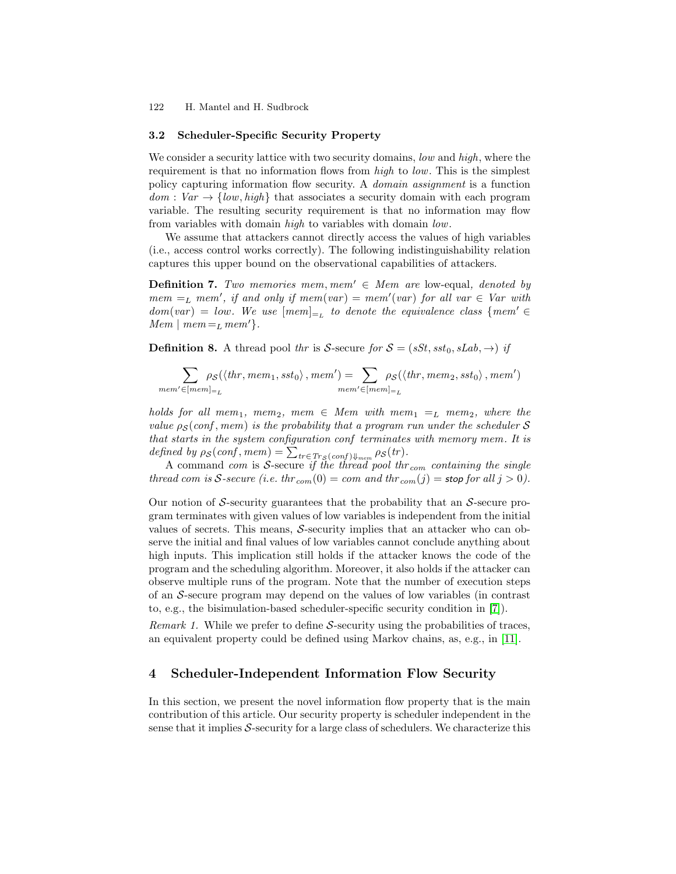## 3.2 Scheduler-Specific Security Property

We consider a security lattice with two security domains, low and high, where the requirement is that no information flows from *high* to *low*. This is the simplest policy capturing information flow security. A domain assignment is a function  $dom: Var \rightarrow \{low, high\}$  that associates a security domain with each program variable. The resulting security requirement is that no information may flow from variables with domain high to variables with domain low.

We assume that attackers cannot directly access the values of high variables (i.e., access control works correctly). The following indistinguishability relation captures this upper bound on the observational capabilities of attackers.

**Definition 7.** Two memories mem, mem<sup>'</sup>  $\in$  Mem are low-equal, denoted by  $mem =_L mem'$ , if and only if mem(var) = mem'(var) for all var  $\in$  Var with  $dom(var) = low.$  We use  $[mem]_{=L}$  to denote the equivalence class  ${mem' \in$  $Mem \mid mem =_L mem' \}.$ 

<span id="page-6-0"></span>**Definition 8.** A thread pool thr is S-secure for  $S = (sSt, sst_0, sLab, \rightarrow)$  if

$$
\sum_{mem' \in [mem]_{=L}^{\infty} \rho_{\mathcal{S}}(\langle thr,mem_1, sst_0 \rangle, mem') = \sum_{mem' \in [mem]_{=L}^{\infty} \rho_{\mathcal{S}}(\langle thr, mem_2, sst_0 \rangle, mem')
$$

holds for all mem<sub>1</sub>, mem<sub>2</sub>, mem  $\in$  Mem with mem<sub>1</sub> =<sub>L</sub> mem<sub>2</sub>, where the value  $\rho_{\mathcal{S}}(conf, mem)$  is the probability that a program run under the scheduler S that starts in the system configuration conf terminates with memory mem . It is defined by  $\rho_{\mathcal{S}}(\text{conf}, \text{mem}) = \sum_{tr \in Tr_{\mathcal{S}}(\text{conf}) \Downarrow_{\text{mem}}} \rho_{\mathcal{S}}(tr)$ .

A command com is S-secure if the thread pool thr<sub>com</sub> containing the single thread com is S-secure (i.e. thr<sub>com</sub>(0) = com and thr<sub>com</sub>(j) = stop for all j > 0).

Our notion of S-security guarantees that the probability that an S-secure program terminates with given values of low variables is independent from the initial values of secrets. This means,  $S$ -security implies that an attacker who can observe the initial and final values of low variables cannot conclude anything about high inputs. This implication still holds if the attacker knows the code of the program and the scheduling algorithm. Moreover, it also holds if the attacker can observe multiple runs of the program. Note that the number of execution steps of an S-secure program may depend on the values of low variables (in contrast to, e.g., the bisimulation-based scheduler-specific security condition in [\[7\]](#page-16-6)).

Remark 1. While we prefer to define  $S$ -security using the probabilities of traces, an equivalent property could be defined using Markov chains, as, e.g., in [\[11\]](#page-16-10).

## 4 Scheduler-Independent Information Flow Security

In this section, we present the novel information flow property that is the main contribution of this article. Our security property is scheduler independent in the sense that it implies S-security for a large class of schedulers. We characterize this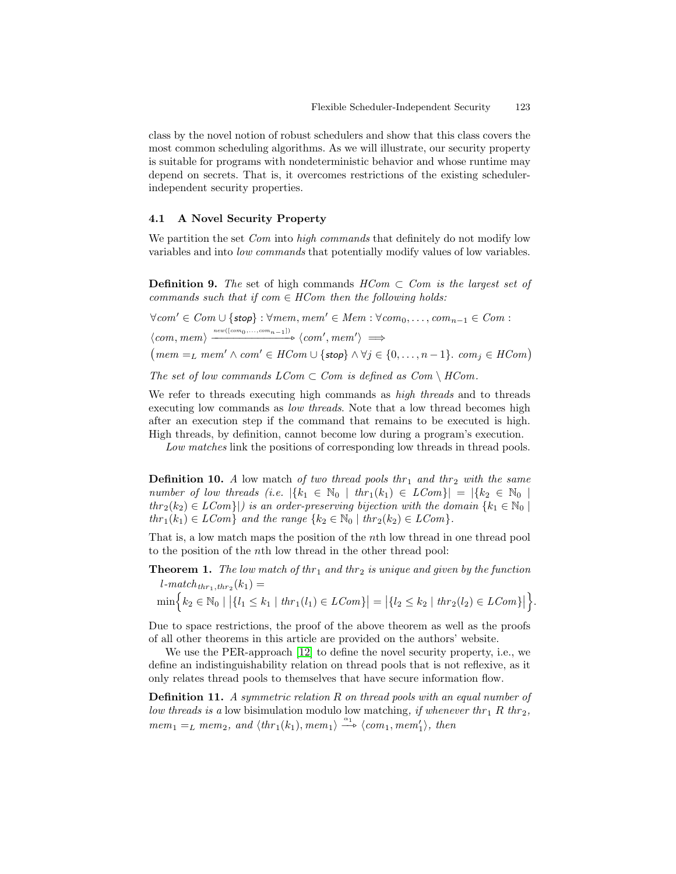class by the novel notion of robust schedulers and show that this class covers the most common scheduling algorithms. As we will illustrate, our security property is suitable for programs with nondeterministic behavior and whose runtime may depend on secrets. That is, it overcomes restrictions of the existing schedulerindependent security properties.

## <span id="page-7-0"></span>4.1 A Novel Security Property

We partition the set *Com* into *high commands* that definitely do not modify low variables and into low commands that potentially modify values of low variables.

**Definition 9.** The set of high commands  $HCom \subset Com$  is the largest set of commands such that if com  $\in$  HCom then the following holds:

$$
\forall com' \in Com \cup \{stop\} : \forall mem, mem' \in Mem : \forall com_0, \dots, com_{n-1} \in Com : \langle com, mem \rangle \xrightarrow{\text{new}([com_0, \dots, com_{n-1}])} \langle com', mem' \rangle \implies (\text{mem} =_L \text{mem'} \land com' \in HCom \cup \{stop\} \land \forall j \in \{0, \dots, n-1\}. \text{com}_j \in HCom)
$$

The set of low commands  $LCom \subset Com$  is defined as  $Com \setminus HCom$ .

We refer to threads executing high commands as *high threads* and to threads executing low commands as *low threads*. Note that a low thread becomes high after an execution step if the command that remains to be executed is high. High threads, by definition, cannot become low during a program's execution.

Low matches link the positions of corresponding low threads in thread pools.

**Definition 10.** A low match of two thread pools thr<sub>1</sub> and thr<sub>2</sub> with the same number of low threads (i.e.  $|\{k_1 \in \mathbb{N}_0 \mid thr_1(k_1) \in LCom\}| = |\{k_2 \in \mathbb{N}_0 \mid m_1(k_2) \in LCom\}| = |\{k_3 \in \mathbb{N}_0 \mid m_2(k_3) \in LCom\}| = |\{k_4 \in \mathbb{N}_0 \mid m_3(k_4) \in LCom\}| = |\{k_5 \in \mathbb{N}_0 \mid m_4(k_5) \in LCom\}| = |\{k_6 \in \mathbb{N}_0 \mid m_5(k_6) \in LCom\}| = |\{k_7 \in \mathbb{N$  $thr_2(k_2) \in LCom$ |) is an order-preserving bijection with the domain  $\{k_1 \in \mathbb{N}_0 \mid$  $thr_1(k_1) \in LCom$  and the range  $\{k_2 \in \mathbb{N}_0 \mid thr_2(k_2) \in LCom\}$ .

That is, a low match maps the position of the nth low thread in one thread pool to the position of the nth low thread in the other thread pool:

**Theorem 1.** The low match of thr<sub>1</sub> and thr<sub>2</sub> is unique and given by the function  $l$ -match<sub>thr<sub>1</sub>,thr<sub>2</sub> $(k_1)$  =</sub>

 $\min\Big\{k_2 \in \mathbb{N}_0 \mid |\{l_1 \leq k_1 \mid thr_1(l_1) \in LCom\}| = |\{l_2 \leq k_2 \mid thr_2(l_2) \in LCom\}|$ o .

Due to space restrictions, the proof of the above theorem as well as the proofs of all other theorems in this article are provided on the authors' website.

We use the PER-approach [\[12\]](#page-16-11) to define the novel security property, i.e., we define an indistinguishability relation on thread pools that is not reflexive, as it only relates thread pools to themselves that have secure information flow.

Definition 11. A symmetric relation R on thread pools with an equal number of low threads is a low bisimulation modulo low matching, if whenever thr<sub>1</sub> R thr<sub>2</sub>,  $mem_1 =_L mem_2$ , and  $\langle thr_1(k_1), mem_1 \rangle \xrightarrow{\alpha_1} \langle com_1, mem'_1 \rangle$ , then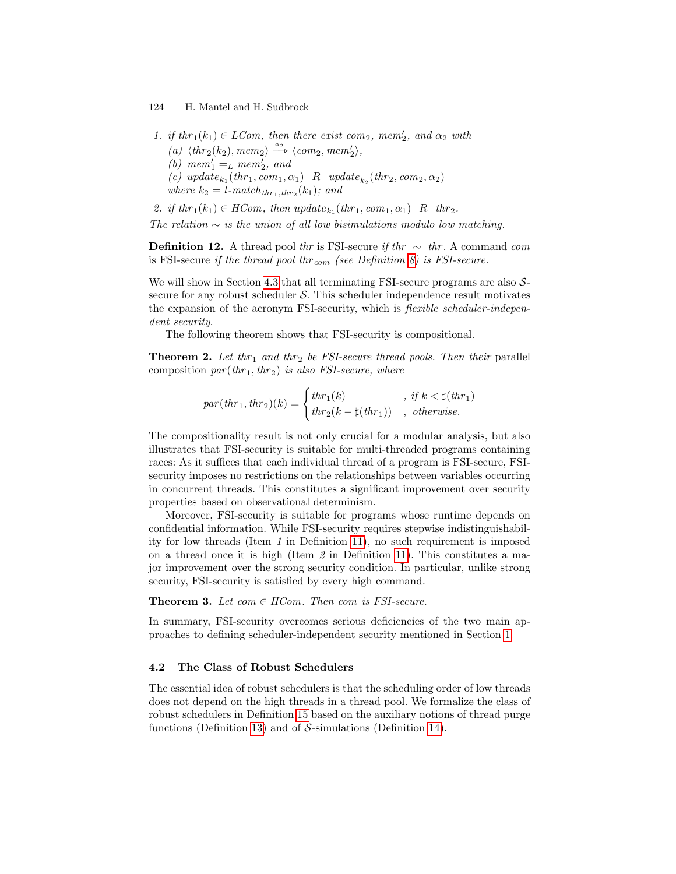- 1. if  $thr_1(k_1) \in LCom$ , then there exist com<sub>2</sub>, mem'<sub>2</sub>, and  $\alpha_2$  with (a)  $\langle thr_2(k_2), mem_2 \rangle \stackrel{\alpha_2}{\longrightarrow} \langle com_2, mem_2' \rangle,$ <br>(b) mem' = x mem' and (b)  $mem'_1 =_L mem'_2$ , and (c)  $update_{k_1}(thr_1, com_1, \alpha_1)$  R  $update_{k_2}(thr_2, com_2, \alpha_2)$ where  $k_2 = l$ -match<sub>thr<sub>1</sub>,thr<sub>2</sub>(k<sub>1</sub>); and</sub>
- <span id="page-8-0"></span>2. if  $thr_1(k_1) \in HCom$ , then  $update_{k_1}(thr_1, com_1, \alpha_1)$  R  $thr_2$ .

The relation  $\sim$  is the union of all low bisimulations modulo low matching.

**Definition 12.** A thread pool thr is FSI-secure if thr  $\sim$  thr. A command com is FSI-secure if the thread pool thr  $_{com}$  (see Definition [8\)](#page-6-0) is FSI-secure.

We will show in Section [4.3](#page-10-1) that all terminating FSI-secure programs are also  $S$ secure for any robust scheduler  $S$ . This scheduler independence result motivates the expansion of the acronym FSI-security, which is flexible scheduler-independent security.

The following theorem shows that FSI-security is compositional.

<span id="page-8-2"></span>**Theorem 2.** Let th $r_1$  and th $r_2$  be FSI-secure thread pools. Then their parallel composition  $par(thr_1, thr_2)$  is also FSI-secure, where

$$
par(thr_1, thr_2)(k) = \begin{cases} thr_1(k) & , \text{ if } k < \sharp(thr_1) \\ thr_2(k - \sharp(thr_1)) & , \text{ otherwise.} \end{cases}
$$

The compositionality result is not only crucial for a modular analysis, but also illustrates that FSI-security is suitable for multi-threaded programs containing races: As it suffices that each individual thread of a program is FSI-secure, FSIsecurity imposes no restrictions on the relationships between variables occurring in concurrent threads. This constitutes a significant improvement over security properties based on observational determinism.

Moreover, FSI-security is suitable for programs whose runtime depends on confidential information. While FSI-security requires stepwise indistinguishability for low threads (Item  $1$  in Definition [11\)](#page-8-0), no such requirement is imposed on a thread once it is high (Item 2 in Definition [11\)](#page-8-0). This constitutes a major improvement over the strong security condition. In particular, unlike strong security, FSI-security is satisfied by every high command.

Theorem 3. Let  $com \in HCom$ . Then com is FSI-secure.

In summary, FSI-security overcomes serious deficiencies of the two main approaches to defining scheduler-independent security mentioned in Section [1.](#page-0-0)

### 4.2 The Class of Robust Schedulers

<span id="page-8-1"></span>The essential idea of robust schedulers is that the scheduling order of low threads does not depend on the high threads in a thread pool. We formalize the class of robust schedulers in Definition [15](#page-9-0) based on the auxiliary notions of thread purge functions (Definition [13\)](#page-8-1) and of  $\mathcal{S}$ -simulations (Definition [14\)](#page-9-1).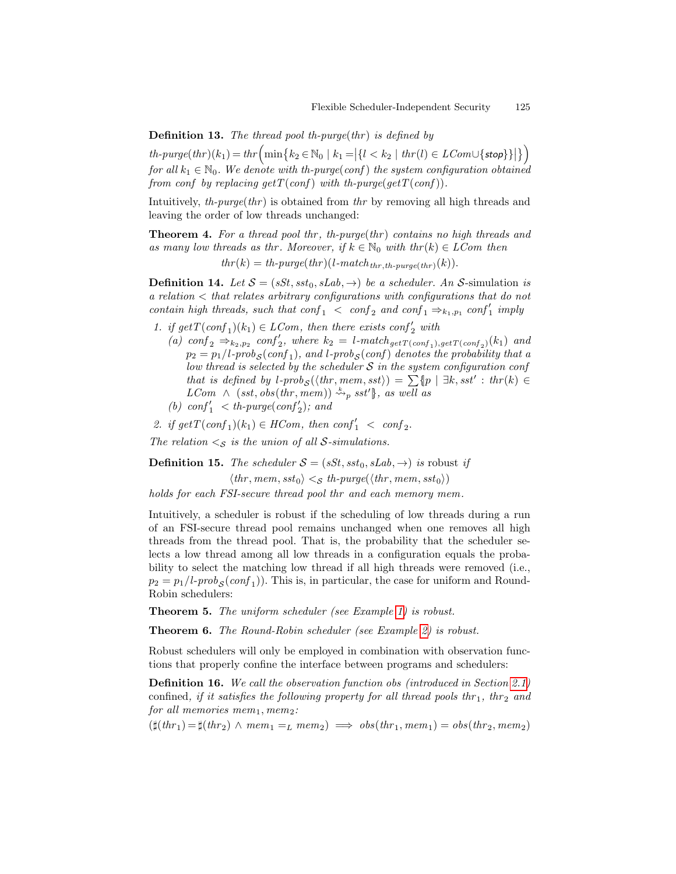**Definition 13.** The thread pool th-purge $(thr)$  is defined by

 $th\text{-}pure(thr)(k_1) = thr\left(\min\big\{k_2\in\mathbb{N}_0\mid k_1=\big|\{l < k_2\mid thr(l)\in LCom\cup\{\text{stop}\}\}\big|\big\}\right)$ for all  $k_1 \in \mathbb{N}_0$ . We denote with th-purge(conf) the system configuration obtained from conf by replacing get  $T(\text{conf})$  with th-purge(get  $T(\text{conf})$ ).

Intuitively, th-purge(thr) is obtained from the by removing all high threads and leaving the order of low threads unchanged:

**Theorem 4.** For a thread pool thr, th-purge(thr) contains no high threads and as many low threads as thr. Moreover, if  $k \in \mathbb{N}_0$  with thr $(k) \in LCom$  then

 $thr(k) = th-purge(thr)(l-match_{thr.th-purae(thr)}(k)).$ 

<span id="page-9-1"></span>**Definition 14.** Let  $S = (sSt, sst_0, sLab, \rightarrow)$  be a scheduler. An S-simulation is a relation < that relates arbitrary configurations with configurations that do not contain high threads, such that  $\text{conf}_1 < \text{conf}_2$  and  $\text{conf}_1 \Rightarrow_{k_1,p_1} \text{conf}_1'$  imply

- 1. if  $getT(conf_1)(k_1) \in LCom$ , then there exists  $conf'_2$  with
	- (a)  $\text{conf}_2 \Rightarrow_{k_2,p_2} \text{conf}_2'$ , where  $k_2 = \text{l-match}_{\text{getT}(\text{conf}_1),\text{getT}(\text{conf}_2)}(k_1)$  and  $p_2 = p_1/l$ -prob<sub>S</sub> $(\textit{conf}_1)$ , and  $l$ -prob<sub>S</sub> $(\textit{conf})$  denotes the probability that a low thread is selected by the scheduler  $S$  in the system configuration conf that is defined by l-prob<sub>S</sub> $(\langle thr, mem, sst \rangle) = \sum \{p \mid \exists k, sst' : thr(k) \in$  $LCom \wedge (sst, obs(thr, mem)) \stackrel{k}{\leadsto} _p sst'$ , as well as
	- (b)  $\text{conf}_1' < \text{th-purge}(\text{conf}_2')$ ; and
- 2. if  $getT(conf_1)(k_1) \in HCom$ , then  $conf'_1 < conf_2$ .

The relation  $\lt$ s is the union of all S-simulations.

<span id="page-9-0"></span>**Definition 15.** The scheduler  $S = (sSt, sst_0, sLab, \rightarrow)$  is robust if  $\langle thr, mem, sst_0\rangle <_{\mathcal{S}} th-purge(\langle thr, mem, sst_0\rangle)$ 

holds for each FSI-secure thread pool thr and each memory mem.

Intuitively, a scheduler is robust if the scheduling of low threads during a run of an FSI-secure thread pool remains unchanged when one removes all high threads from the thread pool. That is, the probability that the scheduler selects a low thread among all low threads in a configuration equals the probability to select the matching low thread if all high threads were removed (i.e.,  $p_2 = p_1/l$ -pro $b_S(\text{conf}_1)$ ). This is, in particular, the case for uniform and Round-Robin schedulers:

<span id="page-9-3"></span><span id="page-9-2"></span>Theorem 5. The uniform scheduler (see Example [1\)](#page-5-1) is robust.

Theorem 6. The Round-Robin scheduler (see Example [2\)](#page-5-2) is robust.

Robust schedulers will only be employed in combination with observation functions that properly confine the interface between programs and schedulers:

Definition 16. We call the observation function obs (introduced in Section [2.1\)](#page-2-0) confined, if it satisfies the following property for all thread pools thr<sub>1</sub>, thr<sub>2</sub> and for all memories mem<sub>1</sub>, mem<sub>2</sub>:

 $(\sharp(thr_1)=\sharp(thr_2)\wedge mem_1=_{L} mem_2)\implies obs(thr_1,mem_1)=obs(thr_2,mem_2)$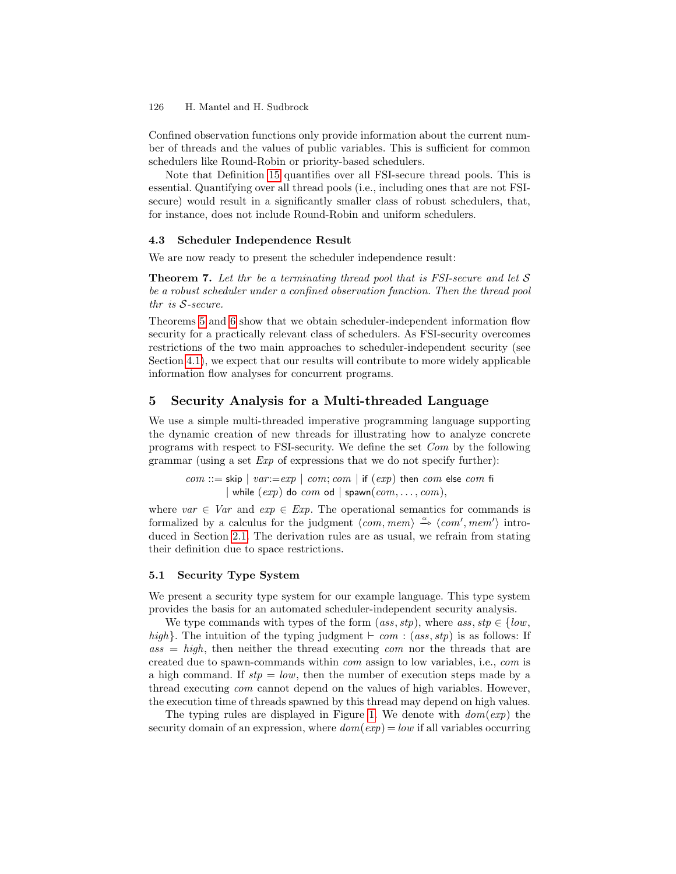Confined observation functions only provide information about the current number of threads and the values of public variables. This is sufficient for common schedulers like Round-Robin or priority-based schedulers.

Note that Definition [15](#page-9-0) quantifies over all FSI-secure thread pools. This is essential. Quantifying over all thread pools (i.e., including ones that are not FSIsecure) would result in a significantly smaller class of robust schedulers, that, for instance, does not include Round-Robin and uniform schedulers.

## <span id="page-10-1"></span>4.3 Scheduler Independence Result

We are now ready to present the scheduler independence result:

**Theorem 7.** Let the be a terminating thread pool that is FSI-secure and let  $S$ be a robust scheduler under a confined observation function. Then the thread pool thr is S-secure.

Theorems [5](#page-9-2) and [6](#page-9-3) show that we obtain scheduler-independent information flow security for a practically relevant class of schedulers. As FSI-security overcomes restrictions of the two main approaches to scheduler-independent security (see Section [4.1\)](#page-7-0), we expect that our results will contribute to more widely applicable information flow analyses for concurrent programs.

## <span id="page-10-0"></span>5 Security Analysis for a Multi-threaded Language

We use a simple multi-threaded imperative programming language supporting the dynamic creation of new threads for illustrating how to analyze concrete programs with respect to FSI-security. We define the set Com by the following grammar (using a set  $Exp$  of expressions that we do not specify further):

 $com ::=$ skip  $| var := exp | com; com |$  if  $(exp)$  then  $com$  else  $com$  fi | while  $(exp)$  do  $com$  od | spawn $(com, \ldots, com),$ 

where  $var \in Var$  and  $exp \in Exp$ . The operational semantics for commands is formalized by a calculus for the judgment  $\langle com, mem \rangle \stackrel{\sim}{\rightarrow} \langle com', mem' \rangle$  intro-<br>dugged in Section 2.1. The derivation rules are as usual, we refrain from stating duced in Section [2.1.](#page-2-0) The derivation rules are as usual, we refrain from stating their definition due to space restrictions.

## 5.1 Security Type System

We present a security type system for our example language. This type system provides the basis for an automated scheduler-independent security analysis.

We type commands with types of the form  $(ass, stp)$ , where  $ass, stp \in \{low,$ high. The intuition of the typing judgment  $\vdash com : (ass, stp)$  is as follows: If  $ass = high$ , then neither the thread executing com nor the threads that are created due to spawn-commands within com assign to low variables, i.e., com is a high command. If  $stp = low$ , then the number of execution steps made by a thread executing com cannot depend on the values of high variables. However, the execution time of threads spawned by this thread may depend on high values.

The typing rules are displayed in Figure [1.](#page-11-0) We denote with  $dom(exp)$  the security domain of an expression, where  $dom(exp) = low$  if all variables occurring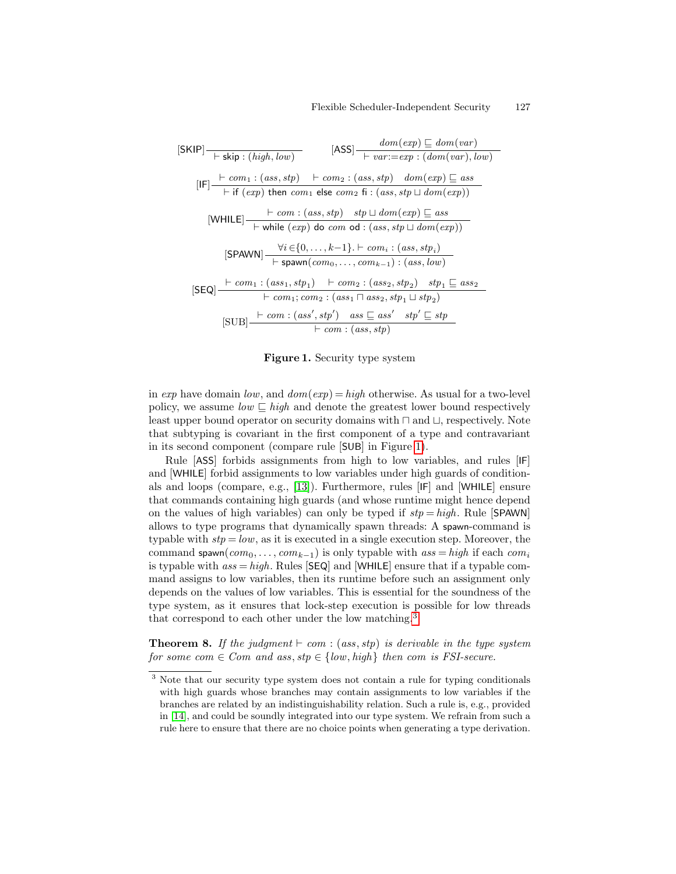$$
[SKIP] \xrightarrow[\text{Exip}: (high, low)]
$$
\n
$$
[ASS] \xrightarrow[\text{Var}:=exp: (dom(var), low)]
$$
\n
$$
[IF] \xrightarrow{\text{Com}_1: (ass, stp)} \text{Hom}_2: (ass, stp) \quad dom(exp) \subseteq ass
$$
\n
$$
[WHILE] \xrightarrow{\text{Com}_1: (ass, stp)} \text{Hom} \cdot (ass, stp \cup dom(exp))
$$
\n
$$
[WHILE] \xrightarrow{\text{Com}_2: (ass, stp)} \text{stp} \cup dom(exp) \subseteq ass
$$
\n
$$
[WHILE] \xrightarrow{\text{Com}_2: (ass, stp)} \text{stp} \cup dom(exp) \subseteq ass
$$
\n
$$
[SPAWN] \xrightarrow{\forall i \in \{0, ..., k-1\}. \vdash com_i : (ass, stp_i)}
$$
\n
$$
[SPAWN] \xrightarrow{\forall i \in \{0, ..., k-1\}. \vdash com_i : (ass, stp_i)}
$$
\n
$$
[SEQ] \xrightarrow{\text{Com}_1: (ass_1, stp_1)} \vdash com_2: (ass_2, stp_2) \quad stp_1 \subseteq ass_2
$$
\n
$$
\vdash com_1; com_2: (ass_1 \sqcap ass_2, stp_1 \sqcup stp_2)
$$
\n
$$
[SUB] \xrightarrow{\text{Com}_2: (ass, stp')} \text{ass} \subseteq ass' \quad stp' \subseteq stp
$$
\n
$$
\vdash com_2: (ass, stp)
$$

#### <span id="page-11-0"></span>Figure 1. Security type system

in exp have domain low, and  $dom(exp) = high$  otherwise. As usual for a two-level policy, we assume  $low \sqsubseteq high$  and denote the greatest lower bound respectively least upper bound operator on security domains with  $\Box$  and  $\Box$ , respectively. Note that subtyping is covariant in the first component of a type and contravariant in its second component (compare rule [SUB] in Figure [1\)](#page-11-0).

Rule [ASS] forbids assignments from high to low variables, and rules [IF] and [WHILE] forbid assignments to low variables under high guards of conditionals and loops (compare, e.g., [\[13\]](#page-16-12)). Furthermore, rules [IF] and [WHILE] ensure that commands containing high guards (and whose runtime might hence depend on the values of high variables) can only be typed if  $stp = high$ . Rule [SPAWN] allows to type programs that dynamically spawn threads: A spawn-command is typable with  $stp = low$ , as it is executed in a single execution step. Moreover, the command spawn( $com_0, \ldots, com_{k-1}$ ) is only typable with  $ass = high$  if each  $com_i$ is typable with  $ass = high$ . Rules  $[SEQ]$  and  $[WHILE]$  ensure that if a typable command assigns to low variables, then its runtime before such an assignment only depends on the values of low variables. This is essential for the soundness of the type system, as it ensures that lock-step execution is possible for low threads that correspond to each other under the low matching.<sup>[3](#page-11-1)</sup>

**Theorem 8.** If the judgment  $\vdash$  com : (ass, stp) is derivable in the type system for some com  $\in$  Com and ass, stp  $\in$  {low, high} then com is FSI-secure.

<span id="page-11-1"></span><sup>&</sup>lt;sup>3</sup> Note that our security type system does not contain a rule for typing conditionals with high guards whose branches may contain assignments to low variables if the branches are related by an indistinguishability relation. Such a rule is, e.g., provided in [\[14\]](#page-16-13), and could be soundly integrated into our type system. We refrain from such a rule here to ensure that there are no choice points when generating a type derivation.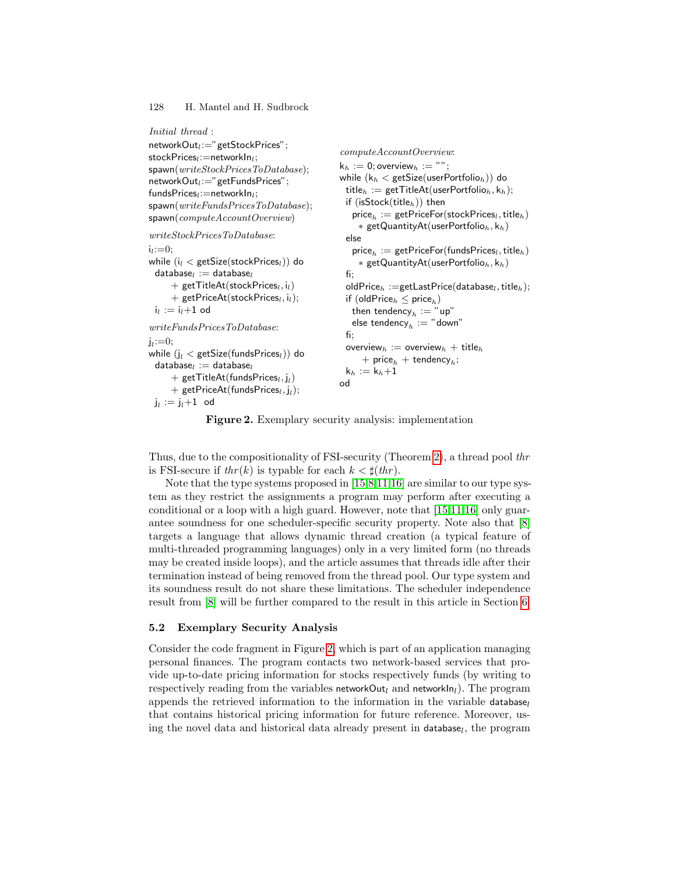```
Initial thread :
networkOut<sub>l</sub>:="getStockPrices";
stock Prices_i:=networkIn_i;spawn(writeStockPricesToDatabase);
networkOut_{l}:= "getFundsPrice";
fundsPrices_l:=networkIn_l;spawn(writeFundsPricesToDatabase);
spawn(computeAccountOverview)
writeStockPricesToDatabase:
i_l:=0;while (i_l < getSize(stockPrices_l)) do
 database_l := database_l+ getTitleAt(stockPrices<sub>l</sub>, i<sub>l</sub>)
       + getPriceAt(stockPrices<sub>l</sub>, i<sub>l</sub>);
 i_l := i_l+1 od
writeFundsPricesToDatabase:
j_l := 0;while (\boldsymbol{\mathfrak j}_l<\textsf{getSize}(\textsf{fundsPrices}_l)) do
 database_l := database_l+ get\mathsf{T}\mathsf{itleAt}(\mathsf{fundsPrices}_l, \mathsf{j}_l)+ getPriceAt(fundsPrices_l, \mathbf{j}_l);
  \mathsf{j}_l := \mathsf{j}_l + 1 od
                                                             computeAccountOverview:
                                                             k_h := 0; overview<sub>h</sub> := "";
                                                             while (k_h < getSize(userPortfolio<sub>h</sub>)) do
                                                               title<sub>h</sub> := getTitleAt(userPortfolio<sub>h</sub>, k_h);
                                                               if (isStock(title<sub>h</sub>)) then
                                                                 \mathsf{price}_h := \mathsf{getPriceFor}(\mathsf{stock Prices}_l,\mathsf{title}_h)* getQuantityAt(userPortfolio<sub>h</sub>, k_h)
                                                               else
                                                                 \mathsf{price}_h := \mathsf{getPriceFor}(\mathsf{fundsPrice}_l, \mathsf{title}_h)* getQuantityAt(userPortfolio<sub>h</sub>, k_h)
                                                               fi;
                                                               oldPrice_h :=getLastPrice(database_l, title_h);if (\mathsf{oldPrice}_h \leq \mathsf{price}_h)then tendency_h := "up"
                                                                 else tendency_h := "down"
                                                               fi;
                                                               overview<sub>h</sub> := overview<sub>h</sub> + title<sub>h</sub>
                                                                    + price_h + tendency_h;
                                                               k_h := k_h+1od
```
<span id="page-12-0"></span>Figure 2. Exemplary security analysis: implementation

Thus, due to the compositionality of FSI-security (Theorem [2\)](#page-8-2), a thread pool thr is FSI-secure if  $thr(k)$  is typable for each  $k < \sharp (thr)$ .

Note that the type systems proposed in  $[15,8,11,16]$  $[15,8,11,16]$  $[15,8,11,16]$  $[15,8,11,16]$  are similar to our type system as they restrict the assignments a program may perform after executing a conditional or a loop with a high guard. However, note that [\[15,](#page-16-14)[11](#page-16-10)[,16\]](#page-16-15) only guarantee soundness for one scheduler-specific security property. Note also that [\[8\]](#page-16-7) targets a language that allows dynamic thread creation (a typical feature of multi-threaded programming languages) only in a very limited form (no threads may be created inside loops), and the article assumes that threads idle after their termination instead of being removed from the thread pool. Our type system and its soundness result do not share these limitations. The scheduler independence result from [\[8\]](#page-16-7) will be further compared to the result in this article in Section [6.](#page-13-0)

#### <span id="page-12-1"></span>5.2 Exemplary Security Analysis

Consider the code fragment in Figure [2,](#page-12-0) which is part of an application managing personal finances. The program contacts two network-based services that provide up-to-date pricing information for stocks respectively funds (by writing to respectively reading from the variables network $Out_l$  and network $In_l$ ). The program appends the retrieved information to the information in the variable database that contains historical pricing information for future reference. Moreover, using the novel data and historical data already present in  $database_l$ , the program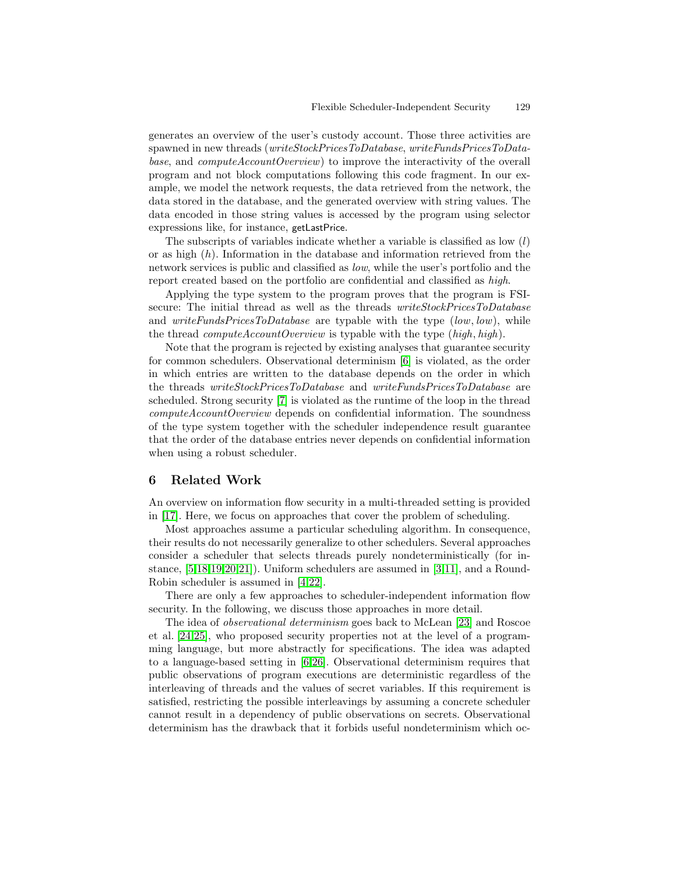generates an overview of the user's custody account. Those three activities are spawned in new threads (writeStockPricesToDatabase, writeFundsPricesToDatabase, and computeAccountOverview) to improve the interactivity of the overall program and not block computations following this code fragment. In our example, we model the network requests, the data retrieved from the network, the data stored in the database, and the generated overview with string values. The data encoded in those string values is accessed by the program using selector expressions like, for instance, getLastPrice.

The subscripts of variables indicate whether a variable is classified as low  $(l)$ or as high  $(h)$ . Information in the database and information retrieved from the network services is public and classified as low, while the user's portfolio and the report created based on the portfolio are confidential and classified as high.

Applying the type system to the program proves that the program is FSIsecure: The initial thread as well as the threads writeStockPricesToDatabase and writeFundsPricesToDatabase are typable with the type (low, low), while the thread *computeAccountOverview* is typable with the type (*high*, *high*).

Note that the program is rejected by existing analyses that guarantee security for common schedulers. Observational determinism [\[6\]](#page-16-5) is violated, as the order in which entries are written to the database depends on the order in which the threads writeStockPricesToDatabase and writeFundsPricesToDatabase are scheduled. Strong security [\[7\]](#page-16-6) is violated as the runtime of the loop in the thread computeAccountOverview depends on confidential information. The soundness of the type system together with the scheduler independence result guarantee that the order of the database entries never depends on confidential information when using a robust scheduler.

## <span id="page-13-0"></span>6 Related Work

An overview on information flow security in a multi-threaded setting is provided in [\[17\]](#page-17-0). Here, we focus on approaches that cover the problem of scheduling.

Most approaches assume a particular scheduling algorithm. In consequence, their results do not necessarily generalize to other schedulers. Several approaches consider a scheduler that selects threads purely nondeterministically (for instance, [\[5](#page-16-4)[,18](#page-17-1)[,19,](#page-17-2)[20,](#page-17-3)[21\]](#page-17-4)). Uniform schedulers are assumed in [\[3,](#page-16-2)[11\]](#page-16-10), and a Round-Robin scheduler is assumed in [\[4,](#page-16-3)[22\]](#page-17-5).

There are only a few approaches to scheduler-independent information flow security. In the following, we discuss those approaches in more detail.

The idea of observational determinism goes back to McLean [\[23\]](#page-17-6) and Roscoe et al. [\[24,](#page-17-7)[25\]](#page-17-8), who proposed security properties not at the level of a programming language, but more abstractly for specifications. The idea was adapted to a language-based setting in [\[6,](#page-16-5)[26\]](#page-17-9). Observational determinism requires that public observations of program executions are deterministic regardless of the interleaving of threads and the values of secret variables. If this requirement is satisfied, restricting the possible interleavings by assuming a concrete scheduler cannot result in a dependency of public observations on secrets. Observational determinism has the drawback that it forbids useful nondeterminism which oc-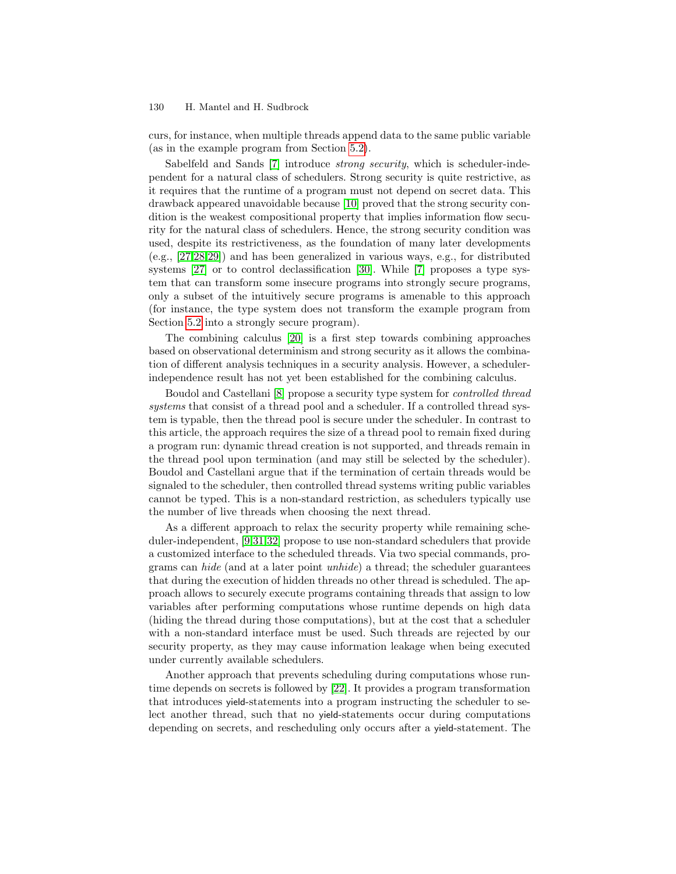curs, for instance, when multiple threads append data to the same public variable (as in the example program from Section [5.2\)](#page-12-1).

Sabelfeld and Sands [\[7\]](#page-16-6) introduce *strong security*, which is scheduler-independent for a natural class of schedulers. Strong security is quite restrictive, as it requires that the runtime of a program must not depend on secret data. This drawback appeared unavoidable because [\[10\]](#page-16-9) proved that the strong security condition is the weakest compositional property that implies information flow security for the natural class of schedulers. Hence, the strong security condition was used, despite its restrictiveness, as the foundation of many later developments (e.g., [\[27,](#page-17-10)[28](#page-17-11)[,29\]](#page-17-12)) and has been generalized in various ways, e.g., for distributed systems [\[27\]](#page-17-10) or to control declassification [\[30\]](#page-17-13). While [\[7\]](#page-16-6) proposes a type system that can transform some insecure programs into strongly secure programs, only a subset of the intuitively secure programs is amenable to this approach (for instance, the type system does not transform the example program from Section [5.2](#page-12-1) into a strongly secure program).

The combining calculus [\[20\]](#page-17-3) is a first step towards combining approaches based on observational determinism and strong security as it allows the combination of different analysis techniques in a security analysis. However, a schedulerindependence result has not yet been established for the combining calculus.

Boudol and Castellani [\[8\]](#page-16-7) propose a security type system for controlled thread systems that consist of a thread pool and a scheduler. If a controlled thread system is typable, then the thread pool is secure under the scheduler. In contrast to this article, the approach requires the size of a thread pool to remain fixed during a program run: dynamic thread creation is not supported, and threads remain in the thread pool upon termination (and may still be selected by the scheduler). Boudol and Castellani argue that if the termination of certain threads would be signaled to the scheduler, then controlled thread systems writing public variables cannot be typed. This is a non-standard restriction, as schedulers typically use the number of live threads when choosing the next thread.

As a different approach to relax the security property while remaining scheduler-independent, [\[9](#page-16-8)[,31,](#page-17-14)[32\]](#page-17-15) propose to use non-standard schedulers that provide a customized interface to the scheduled threads. Via two special commands, programs can *hide* (and at a later point *unhide*) a thread; the scheduler guarantees that during the execution of hidden threads no other thread is scheduled. The approach allows to securely execute programs containing threads that assign to low variables after performing computations whose runtime depends on high data (hiding the thread during those computations), but at the cost that a scheduler with a non-standard interface must be used. Such threads are rejected by our security property, as they may cause information leakage when being executed under currently available schedulers.

Another approach that prevents scheduling during computations whose runtime depends on secrets is followed by [\[22\]](#page-17-5). It provides a program transformation that introduces yield-statements into a program instructing the scheduler to select another thread, such that no yield-statements occur during computations depending on secrets, and rescheduling only occurs after a yield-statement. The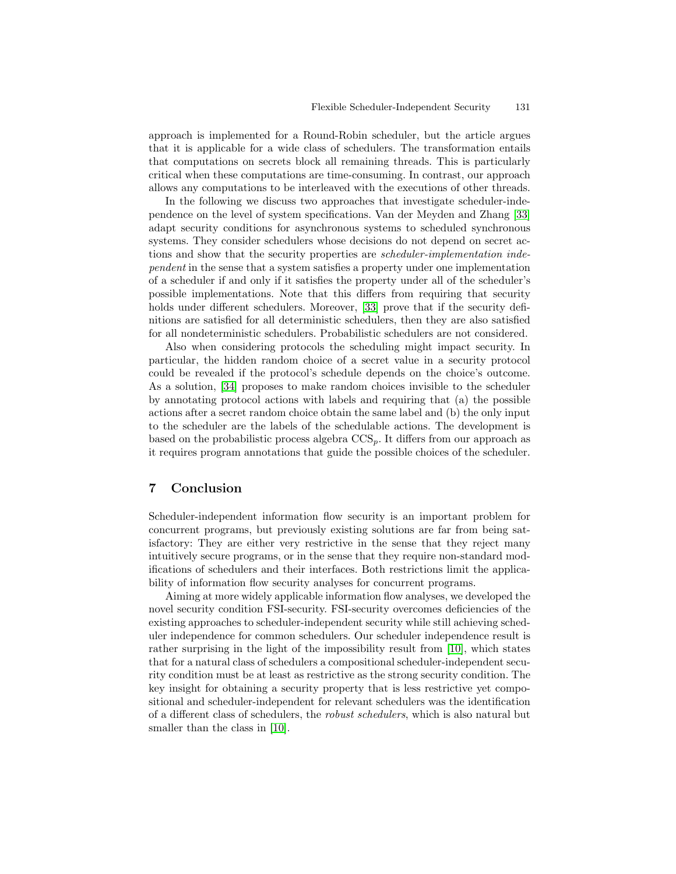approach is implemented for a Round-Robin scheduler, but the article argues that it is applicable for a wide class of schedulers. The transformation entails that computations on secrets block all remaining threads. This is particularly critical when these computations are time-consuming. In contrast, our approach allows any computations to be interleaved with the executions of other threads.

In the following we discuss two approaches that investigate scheduler-independence on the level of system specifications. Van der Meyden and Zhang [\[33\]](#page-17-16) adapt security conditions for asynchronous systems to scheduled synchronous systems. They consider schedulers whose decisions do not depend on secret actions and show that the security properties are scheduler-implementation independent in the sense that a system satisfies a property under one implementation of a scheduler if and only if it satisfies the property under all of the scheduler's possible implementations. Note that this differs from requiring that security holds under different schedulers. Moreover, [\[33\]](#page-17-16) prove that if the security definitions are satisfied for all deterministic schedulers, then they are also satisfied for all nondeterministic schedulers. Probabilistic schedulers are not considered.

Also when considering protocols the scheduling might impact security. In particular, the hidden random choice of a secret value in a security protocol could be revealed if the protocol's schedule depends on the choice's outcome. As a solution, [\[34\]](#page-17-17) proposes to make random choices invisible to the scheduler by annotating protocol actions with labels and requiring that (a) the possible actions after a secret random choice obtain the same label and (b) the only input to the scheduler are the labels of the schedulable actions. The development is based on the probabilistic process algebra  $CCS_p$ . It differs from our approach as it requires program annotations that guide the possible choices of the scheduler.

## 7 Conclusion

Scheduler-independent information flow security is an important problem for concurrent programs, but previously existing solutions are far from being satisfactory: They are either very restrictive in the sense that they reject many intuitively secure programs, or in the sense that they require non-standard modifications of schedulers and their interfaces. Both restrictions limit the applicability of information flow security analyses for concurrent programs.

Aiming at more widely applicable information flow analyses, we developed the novel security condition FSI-security. FSI-security overcomes deficiencies of the existing approaches to scheduler-independent security while still achieving scheduler independence for common schedulers. Our scheduler independence result is rather surprising in the light of the impossibility result from [\[10\]](#page-16-9), which states that for a natural class of schedulers a compositional scheduler-independent security condition must be at least as restrictive as the strong security condition. The key insight for obtaining a security property that is less restrictive yet compositional and scheduler-independent for relevant schedulers was the identification of a different class of schedulers, the robust schedulers, which is also natural but smaller than the class in  $[10]$ .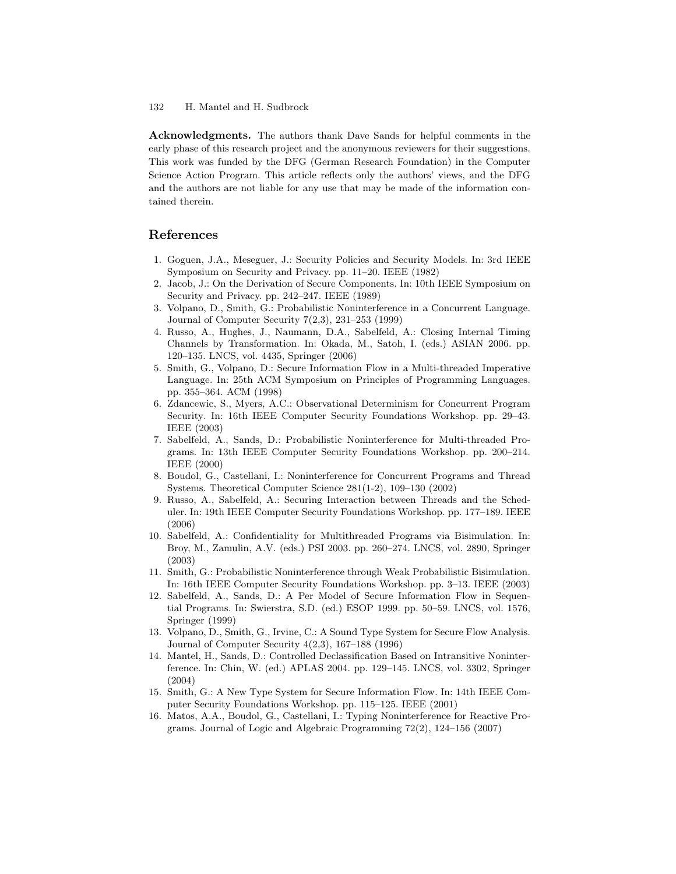Acknowledgments. The authors thank Dave Sands for helpful comments in the early phase of this research project and the anonymous reviewers for their suggestions. This work was funded by the DFG (German Research Foundation) in the Computer Science Action Program. This article reflects only the authors' views, and the DFG and the authors are not liable for any use that may be made of the information contained therein.

## References

- <span id="page-16-0"></span>1. Goguen, J.A., Meseguer, J.: Security Policies and Security Models. In: 3rd IEEE Symposium on Security and Privacy. pp. 11–20. IEEE (1982)
- <span id="page-16-1"></span>2. Jacob, J.: On the Derivation of Secure Components. In: 10th IEEE Symposium on Security and Privacy. pp. 242–247. IEEE (1989)
- <span id="page-16-2"></span>3. Volpano, D., Smith, G.: Probabilistic Noninterference in a Concurrent Language. Journal of Computer Security 7(2,3), 231–253 (1999)
- <span id="page-16-3"></span>4. Russo, A., Hughes, J., Naumann, D.A., Sabelfeld, A.: Closing Internal Timing Channels by Transformation. In: Okada, M., Satoh, I. (eds.) ASIAN 2006. pp. 120–135. LNCS, vol. 4435, Springer (2006)
- <span id="page-16-4"></span>5. Smith, G., Volpano, D.: Secure Information Flow in a Multi-threaded Imperative Language. In: 25th ACM Symposium on Principles of Programming Languages. pp. 355–364. ACM (1998)
- <span id="page-16-5"></span>6. Zdancewic, S., Myers, A.C.: Observational Determinism for Concurrent Program Security. In: 16th IEEE Computer Security Foundations Workshop. pp. 29–43. IEEE (2003)
- <span id="page-16-6"></span>7. Sabelfeld, A., Sands, D.: Probabilistic Noninterference for Multi-threaded Programs. In: 13th IEEE Computer Security Foundations Workshop. pp. 200–214. IEEE (2000)
- <span id="page-16-7"></span>8. Boudol, G., Castellani, I.: Noninterference for Concurrent Programs and Thread Systems. Theoretical Computer Science 281(1-2), 109–130 (2002)
- <span id="page-16-8"></span>9. Russo, A., Sabelfeld, A.: Securing Interaction between Threads and the Scheduler. In: 19th IEEE Computer Security Foundations Workshop. pp. 177–189. IEEE (2006)
- <span id="page-16-9"></span>10. Sabelfeld, A.: Confidentiality for Multithreaded Programs via Bisimulation. In: Broy, M., Zamulin, A.V. (eds.) PSI 2003. pp. 260–274. LNCS, vol. 2890, Springer (2003)
- <span id="page-16-10"></span>11. Smith, G.: Probabilistic Noninterference through Weak Probabilistic Bisimulation. In: 16th IEEE Computer Security Foundations Workshop. pp. 3–13. IEEE (2003)
- <span id="page-16-11"></span>12. Sabelfeld, A., Sands, D.: A Per Model of Secure Information Flow in Sequential Programs. In: Swierstra, S.D. (ed.) ESOP 1999. pp. 50–59. LNCS, vol. 1576, Springer (1999)
- <span id="page-16-12"></span>13. Volpano, D., Smith, G., Irvine, C.: A Sound Type System for Secure Flow Analysis. Journal of Computer Security 4(2,3), 167–188 (1996)
- <span id="page-16-13"></span>14. Mantel, H., Sands, D.: Controlled Declassification Based on Intransitive Noninterference. In: Chin, W. (ed.) APLAS 2004. pp. 129–145. LNCS, vol. 3302, Springer (2004)
- <span id="page-16-14"></span>15. Smith, G.: A New Type System for Secure Information Flow. In: 14th IEEE Computer Security Foundations Workshop. pp. 115–125. IEEE (2001)
- <span id="page-16-15"></span>16. Matos, A.A., Boudol, G., Castellani, I.: Typing Noninterference for Reactive Programs. Journal of Logic and Algebraic Programming 72(2), 124–156 (2007)